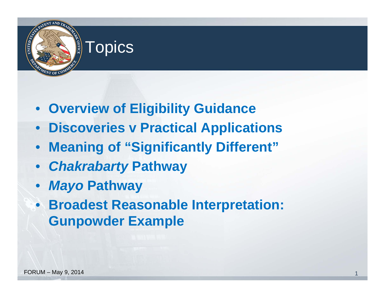

- **Overview of Eligibility Guidance**
- **Discoveries v Practical Applications**
- $\bullet$ **Meaning of "Significantly Different"**
- *Chakrabarty* **Pathway**
- *Mayo* **Pathway**
- **Broadest Reasonable Interpretation: Gunpowder Example**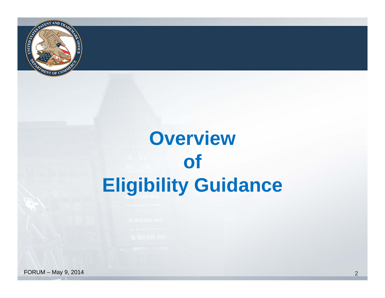

### **Overview of Eligibility Guidance**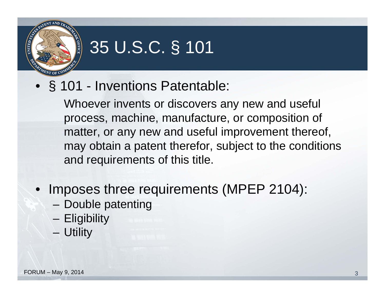

#### 35 U.S.C. § 101

• § 101 - Inventions Patentable:

Whoever invents or discovers any new and useful process, machine, manufacture, or composition of matter, or any new and useful improvement thereof, may obtain a patent therefor, subject to the conditions and requirements of this title.

- Imposes three requirements (MPEP 2104):
	- Double patenting
	- Eligibility
	- Utility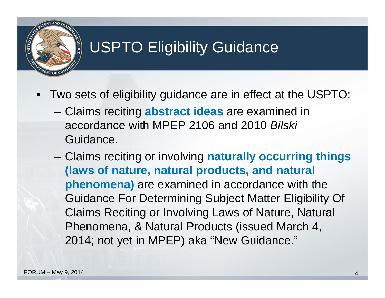

#### USPTO Eligibility Guidance

- Two sets of eligibility guidance are in effect at the USPTO:
	- Claims reciting **abstract ideas** are examined in accordance with MPEP 2106 and 2010 *Bilski* Guidance.
	- Claims reciting or involving **naturally occurring things (laws of nature, natural products, and natural phenomena)** are examined in accordance with the Guidance For Determining Subject Matter Eligibility Of Claims Reciting or Involving Laws of Nature, Natural Phenomena, & Natural Products (issued March 4, 2014; not yet in MPEP) aka "New Guidance."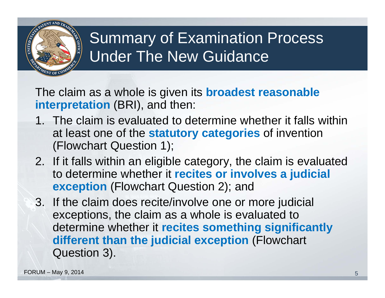

#### Summary of Examination Process Under The New Guidance

The claim as a whole is given its **broadest reasonable interpretation** (BRI), and then:

- 1. The claim is evaluated to determine whether it falls within at least one of the **statutory categories** of invention (Flowchart Question 1);
- 2. If it falls within an eligible category, the claim is evaluated to determine whether it **recites or involves a judicial exception** (Flowchart Question 2); and
- 3. If the claim does recite/involve one or more judicial exceptions, the claim as a whole is evaluated to determine whether it **recites something significantly different than the judicial exception** (Flowchart Question 3).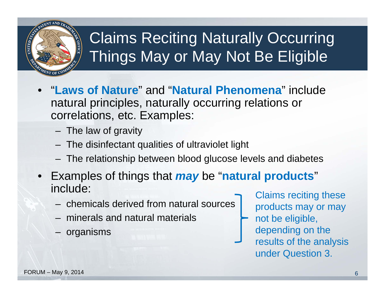

#### Claims Reciting Naturally Occurring Things May or May Not Be Eligible

- "**Laws of Nature**" and "**Natural Phenomena**" include natural principles, naturally occurring relations or correlations, etc. Examples:
	- The law of gravity
	- The disinfectant qualities of ultraviolet light
	- The relationship between blood glucose levels and diabetes
- Examples of things that *may* be "**natural products**" include:
	- chemicals derived from natural sources<br>
	The products may or may
	- minerals and natural materials  $\rightarrow$  not be eligible,
	-

– organisms and the depending on the results of the analysis under Question 3.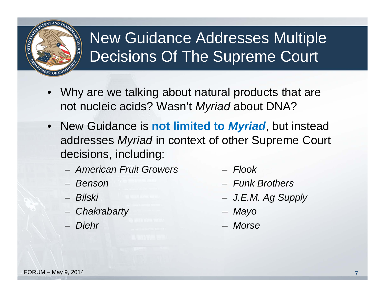

#### New Guidance Addresses Multiple Decisions Of The Supreme Court

- Why are we talking about natural products that are not nucleic acids? Wasn't *Myriad* about DNA?
- New Guidance is **not limited to** *Myriad*, but instead addresses *Myriad* in context of other Supreme Court decisions, including:
	- *American Fruit Growers Flook*
	- Benson
	- Bilski
	- *Chakrabarty Mayo*
	- Diehr
- 
- *Benson Funk Brothers*
- *Bilski J.E.M. Ag Supply*
- 
- *Diehr Morse*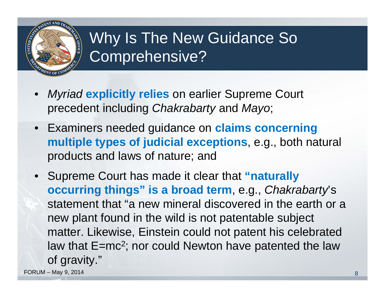

#### Why Is The New Guidance So Comprehensive?

- *Myriad* **explicitly relies** on earlier Supreme Court precedent including *Chakrabarty* and *Mayo*;
- Examiners needed guidance on **claims concerning multiple types of judicial exceptions**, e.g., both natural products and laws of nature; and
- Supreme Court has made it clear that **"naturally occurring things" is a broad term**, e.g., *Chakrabarty*'s statement that "a new mineral discovered in the earth or a new plant found in the wild is not patentable subject matter. Likewise, Einstein could not patent his celebrated law that E=mc<sup>2</sup>; nor could Newton have patented the law of gravity."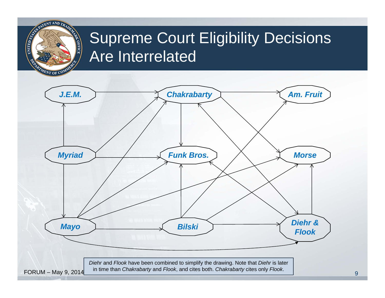#### **NITED STATES** Supreme Court Eligibility Decisions **AV OFFICE** Are Interrelated NT OF **Chakrabarty Am. Fruit** *J.E.M. Myriad Funk Bros. Morse Mayo Diehr & Flook Bilski* **Flook** *Diehr* and *Flook* have been combined to simplify the drawing. Note that *Diehr* is later in time than *Chakrabarty* and *Flook*, and cites both. *Chakrabarty* cites only *Flook*. FORUM – May 9, 2014 9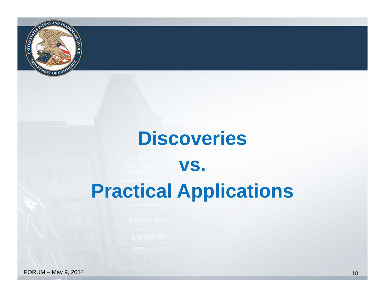

# **Discoveries vs. Practical Applications**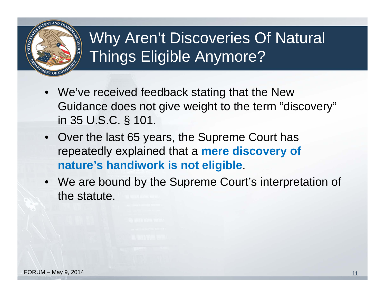

#### Why Aren't Discoveries Of Natural Things Eligible Anymore?

- We've received feedback stating that the New Guidance does not give weight to the term "discovery" in 35 U.S.C. § 101.
- Over the last 65 years, the Supreme Court has repeatedly explained that a **mere discovery of nature's handiwork is not eligible**.
- We are bound by the Supreme Court's interpretation of the statute.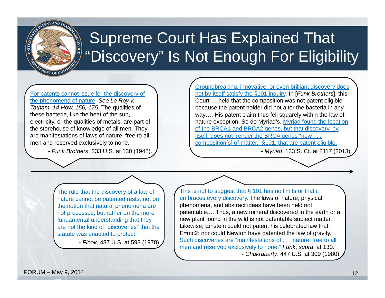

#### Supreme Court Has Explained That "Discovery" Is Not Enough For Eligibility

For patents cannot issue for the discovery of the phenomena of nature. *See Le Roy v. Tatham, 14 How. 156, 175.* The qualities of these bacteria, like the heat of the sun, electricity, or the qualities of metals, are part of the storehouse of knowledge of all men. They are manifestations of laws of nature, free to all men and reserved exclusively to none.

- *Funk Brothers*, 333 U.S. at 130 (1948).

Groundbreaking, innovative, or even brilliant discovery does not by itself satisfy the §101 inquiry. In [*Funk Brothers*], this Court … held that the composition was not patent eligible because the patent holder did not alter the bacteria in any way…. His patent claim thus fell squarely within the law of nature exception. So do Myriad's. Myriad found the location of the BRCA1 and BRCA2 genes, but that discovery, by itself, does not render the BRCA genes "new . . . composition[s] of matter," §101, that are patent eligible.

- *Myriad*, 133 S. Ct. at 2117 (2013).

The rule that the discovery of a law of nature cannot be patented rests, not on the notion that natural phenomena are not processes, but rather on the more fundamental understanding that they are not the kind of "discoveries" that the statute was enacted to protect.

- *Flook*, 437 U.S. at 593 (1978).

This is not to suggest that  $\S$  101 has no limits or that it embraces every discovery. The laws of nature, physical phenomena, and abstract ideas have been held not patentable.… Thus, a new mineral discovered in the earth or a new plant found in the wild is not patentable subject matter. Likewise, Einstein could not patent his celebrated law that E=mc2; nor could Newton have patented the law of gravity. Such discoveries are "manifestations of . . . nature, free to all men and reserved exclusively to none." *Funk*, *supra*, at 130. - *Chakrabarty*, 447 U.S. at 309 (1980).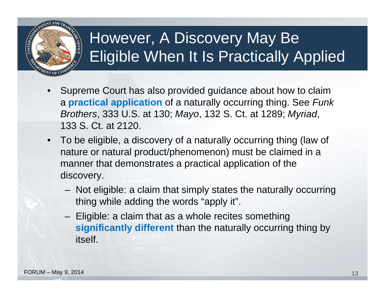

#### However, A Discovery May Be Eligible When It Is Practically Applied

- Supreme Court has also provided guidance about how to claim <sup>a</sup>**practical application** of a naturally occurring thing. See *Funk Brothers*, 333 U.S. at 130; *Mayo*, 132 S. Ct. at 1289; *Myriad*, 133 S. Ct. at 2120.
- To be eligible, a discovery of a naturally occurring thing (law of nature or natural product/phenomenon) must be claimed in a manner that demonstrates a practical application of the discovery.
	- Not eligible: a claim that simply states the naturally occurring thing while adding the words "apply it".
	- $-$  Eligible: a claim that as a whole recites something  $\overline{\phantom{a}}$ **significantly different** than the naturally occurring thing by itself.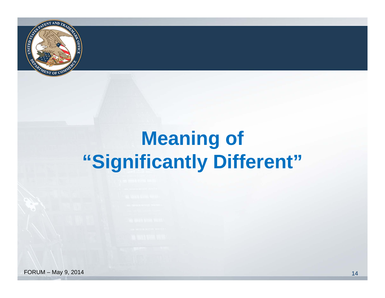

#### **Meaning of "Significantly Different"**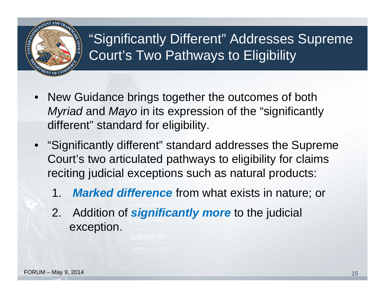

#### "Significantly Different" Addresses Supreme Court's Two Pathways to Eligibility

- New Guidance brings together the outcomes of both *Myriad* and *Mayo* in its expression of the "significantly different" standard for eligibility.
- "Significantly different" standard addresses the Supreme Court's two articulated pathways to eligibility for claims reciting judicial exceptions such as natural products:
	- 1.*Marked difference* from what exists in nature; or
	- 2. Addition of *significantly more* to the judicial exception.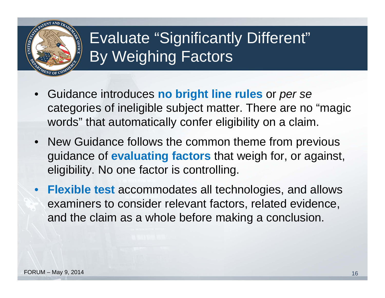

#### Evaluate "Significantly Different" By Weighing Factors

- Guidance introduces **no bright line rules** or *per se*  categories of ineligible subject matter. There are no "magic words" that automatically confer eligibility on a claim.
- New Guidance follows the common theme from previous guidance of **evaluating factors** that weigh for, or against, eligibility. No one factor is controlling.
- • **Flexible test** accommodates all technologies, and allows examiners to consider relevant factors, related evidence, and the claim as a whole before making a conclusion.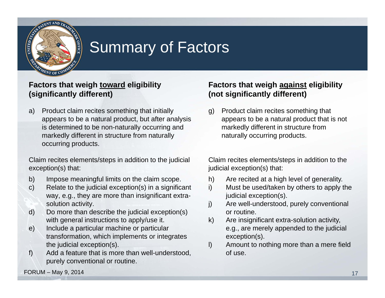

#### Summary of Factors

#### **Factors that weigh toward eligibility (significantly different)**

a) Product claim recites something that initially appears to be a natural product, but after analysis is determined to be non-naturally occurring and markedly different in structure from naturally occurring products.

Claim recites elements/steps in addition to the judicial exception(s) that:

- b) Impose meaningful limits on the claim scope.
- c) Relate to the judicial exception(s) in a significant way, e.g., they are more than insignificant extrasolution activity.
- d) Do more than describe the judicial exception(s) with general instructions to apply/use it.
- e) Include a particular machine or particular transformation, which implements or integrates the judicial exception(s).
- f) Add a feature that is more than well-understood, purely conventional or routine.

#### **Factors that weigh against eligibility (not significantly different)**

g) Product claim recites something that appears to be a natural product that is not markedly different in structure from naturally occurring products.

Claim recites elements/steps in addition to the judicial exception(s) that:

- h) Are recited at a high level of generality.
- i) Must be used/taken by others to apply the judicial exception(s).
- j) Are well-understood, purely conventional or routine.
- k) Are insignificant extra-solution activity, e.g., are merely appended to the judicial exception(s).
- l) Amount to nothing more than a mere field of use.

FORUM – May 9, 2014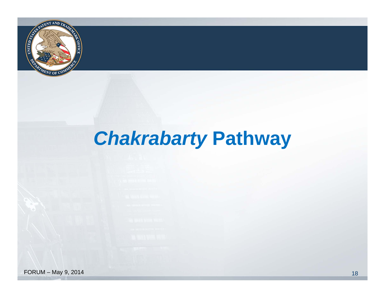

#### *Chakrabarty* **Pathway**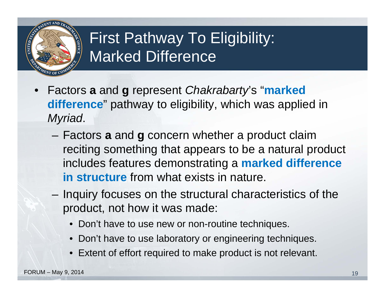

#### First Pathway To Eligibility: Marked Difference

- Factors **<sup>a</sup>**and **g** represent *Chakrabarty*'s "**marked difference**" pathway to eligibility, which was applied in *Myriad*.
	- – Factors **<sup>a</sup>**and **g** concern whether a product claim reciting something that appears to be a natural product includes features demonstrating a **marked difference in structure** from what exists in nature.
	- Inquiry focuses on the structural characteristics of the product, not how it was made:
		- Don't have to use new or non-routine techniques.
		- Don't have to use laboratory or engineering techniques.
		- Extent of effort required to make product is not relevant.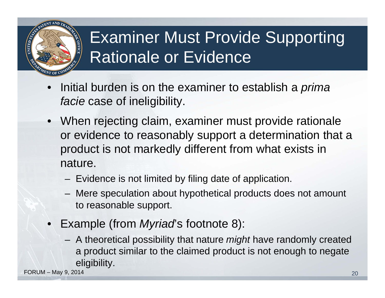

#### Examiner Must Provide Supporting Rationale or Evidence

- • Initial burden is on the examiner to establish a *prima facie* case of ineligibility.
- When rejecting claim, examiner must provide rationale or evidence to reasonably support a determination that a product is not markedly different from what exists in nature.
	- Evidence is not limited by filing date of application.
	- Mere speculation about hypothetical products does not amount to reasonable support.
- Example (from *Myriad*'s footnote 8):
	- A theoretical possibility that nature *might* have randomly created a product similar to the claimed product is not enough to negate eligibility.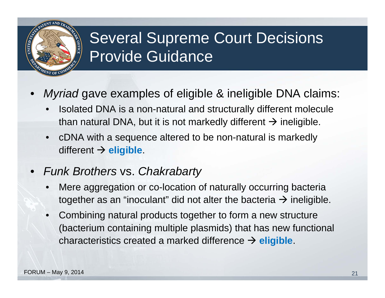#### Several Supreme Court Decisions Provide Guidance

- • *Myriad* gave examples of eligible & ineligible DNA claims:
	- • Isolated DNA is a non-natural and structurally different molecule than natural DNA, but it is not markedly different  $\rightarrow$  ineligible.
	- • cDNA with a sequence altered to be non-natural is markedly different **eligible**.
- • *Funk Brothers* vs. *Chakrabarty* 
	- • Mere aggregation or co-location of naturally occurring bacteria together as an "inoculant" did not alter the bacteria  $\rightarrow$  ineligible.
	- • Combining natural products together to form a new structure (bacterium containing multiple plasmids) that has new functional characteristics created a marked difference **eligible**.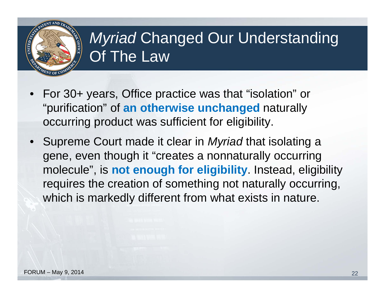

#### *Myriad* Changed Our Understanding Of The Law

- For 30+ years, Office practice was that "isolation" or "purification" of **an otherwise unchanged** naturally occurring product was sufficient for eligibility.
- Supreme Court made it clear in *Myriad* that isolating a gene, even though it "creates a nonnaturally occurring molecule", is **not enough for eligibility**. Instead, eligibility requires the creation of something not naturally occurring, which is markedly different from what exists in nature.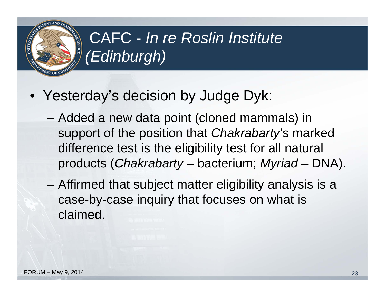#### CAFC - *In re Roslin Institute (Edinburgh)*

- Yesterday's decision by Judge Dyk:
	- Added a new data point (cloned mammals) in support of the position that *Chakrabarty*'s marked difference test is the eligibility test for all natural products (*Chakrabarty* – bacterium; *Myriad* – DNA).
	- Affirmed that subject matter eligibility analysis is a case-by-case inquiry that focuses on what is claimed.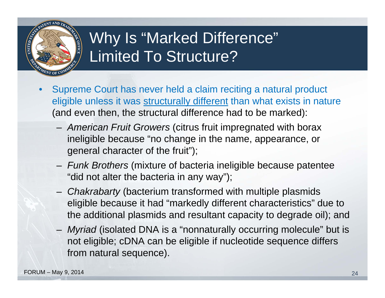

#### Why Is "Marked Difference" Limited To Structure?

- • Supreme Court has never held a claim reciting a natural product eligible unless it was structurally different than what exists in nature (and even then, the structural difference had to be marked):
	- – *American Fruit Growers* (citrus fruit impregnated with borax ineligible because "no change in the name, appearance, or general character of the fruit");
	- – *Funk Brothers* (mixture of bacteria ineligible because patentee "did not alter the bacteria in any way");
	- – *Chakrabarty* (bacterium transformed with multiple plasmids eligible because it had "markedly different characteristics" due to the additional plasmids and resultant capacity to degrade oil); and
	- – *Myriad* (isolated DNA is a "nonnaturally occurring molecule" but is not eligible; cDNA can be eligible if nucleotide sequence differs from natural sequence).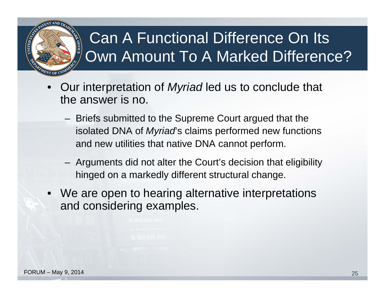#### Can A Functional Difference On Its Own Amount To A Marked Difference?

- • Our interpretation of *Myriad* led us to conclude that the answer is no.
	- Briefs submitted to the Supreme Court argued that the isolated DNA of *Myriad*'s claims performed new functions and new utilities that native DNA cannot perform.
	- Arguments did not alter the Court's decision that eligibility hinged on a markedly different structural change.
- We are open to hearing alternative interpretations and considering examples.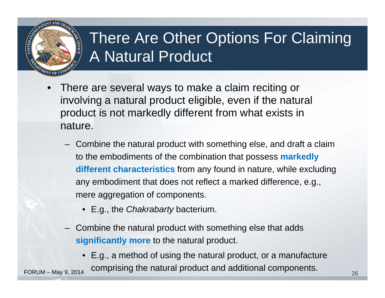

#### There Are Other Options For Claiming A Natural Product

- • There are several ways to make a claim reciting or involving a natural product eligible, even if the natural product is not markedly different from what exists in nature.
	- Combine the natural product with something else, and draft a claim to the embodiments of the combination that possess **markedly different characteristics** from any found in nature, while excluding any embodiment that does not reflect a marked difference, e.g., mere aggregation of components.
		- E.g., the *Chakrabarty* bacterium.
	- Combine the natural product with something else that adds **significantly more** to the natural product.
- E.g., a method of using the natural product, or a manufacture FORUM – May 9, 2014 comprising the natural product and additional components.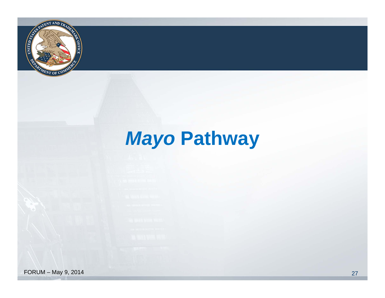

#### **Mayo Pathway**

 $FORM - May 9, 2014$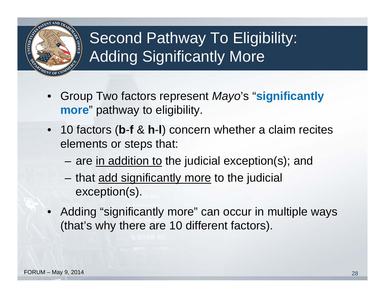

#### Second Pathway To Eligibility: Adding Significantly More

- Group Two factors represent *Mayo*'s "**significantly more**" pathway to eligibility.
- 10 factors (**b-f & h-l**) concern whether a claim recites elements or steps that:
	- –– are <u>in addition to</u> the judicial exception(s); and
	- that add significantly more to the judicial exception(s).
- Adding "significantly more" can occur in multiple ways (that's why there are 10 different factors).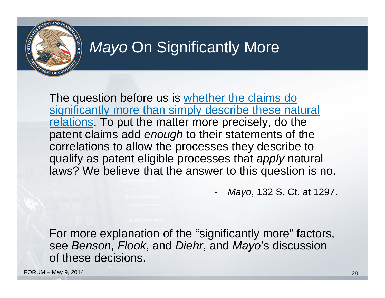

#### **Mayo On Significantly More**

The question before us is whether the claims do significantly more than simply describe these natural relations. To put the matter more precisely, do the patent claims add *enough* to their statements of the correlations to allow the processes they describe to qualify as patent eligible processes that *apply* natural laws? We believe that the answer to this question is no.

*Mayo*, 132 S. Ct. at 1297.

For more explanation of the "significantly more" factors, see *Benson*, *Flook*, and *Diehr*, and *Mayo*'s discussion of these decisions.

**FORUM – May 9, 2014** 29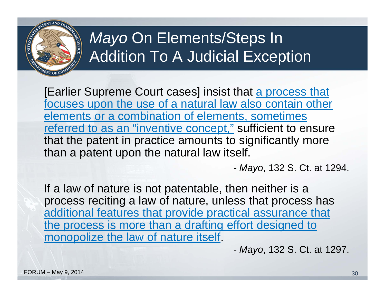

#### *Mayo* On Elements/Steps In Addition To A Judicial Exception

[Earlier Supreme Court cases] insist that a process that focuses upon the use of a natural law also contain other elements or a combination of elements, sometimes referred to as an "inventive concept," sufficient to ensure that the patent in practice amounts to significantly more than a patent upon the natural law itself.

*Mayo*, 132 S. Ct. at 1294.

If a law of nature is not patentable, then neither is a process reciting a law of nature, unless that process has additional features that provide practical assurance that the process is more than a drafting effort designed to monopolize the law of nature itself.

*Mayo*, 132 S. Ct. at 1297.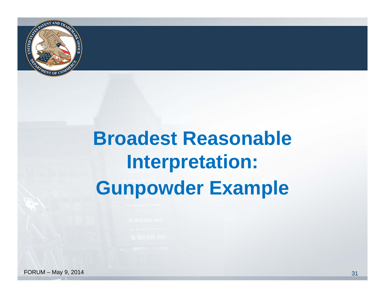

## **Broadest Reasonable Interpretation: Gunpowder Example**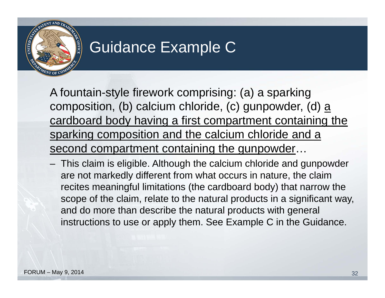

#### Guidance Example C

A fountain-style firework comprising: (a) a sparking composition, (b) calcium chloride, (c) gunpowder, (d)  $\underline{a}$ cardboard body having a first compartment containing the sparking composition and the calcium chloride and a second compartment containing the gunpowder...

– This claim is eligible. Although the calcium chloride and gunpowder are not markedly different from what occurs in nature, the claim recites meaningful limitations (the cardboard body) that narrow the scope of the claim, relate to the natural products in a significant way, and do more than describe the natural products with general instructions to use or apply them. See Example C in the Guidance.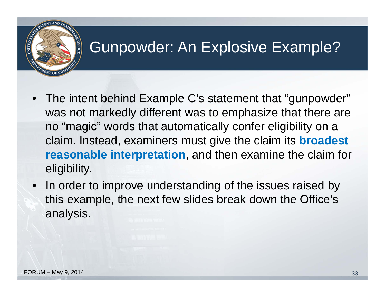

#### Gunpowder: An Explosive Example?

- $\bullet$  The intent behind Example C's statement that "gunpowder" was not markedly different was to emphasize that there are no "magic" words that automatically confer eligibility on a claim. Instead, examiners must give the claim its **broadest reasonable interpretation**, and then examine the claim for eligibility.
- In order to improve understanding of the issues raised by this example, the next few slides break down the Office's analysis.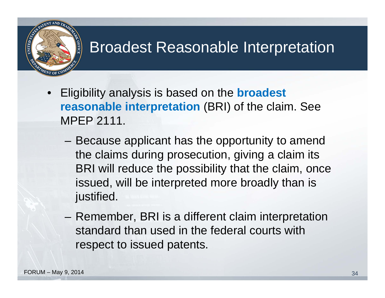#### Broadest Reasonable Interpretation

- Eligibility analysis is based on the **broadest reasonable interpretation (BRI) of the claim. See** MPEP 2111.
	- Because applicant has the opportunity to amend the claims during prosecution, giving a claim its BRI will reduce the possibility that the claim, once issued, will be interpreted more broadly than is justified.
	- Remember, BRI is a different claim interpretation standard than used in the federal courts with respect to issued patents.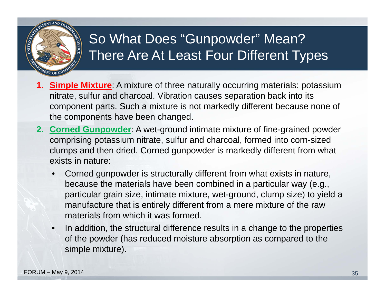

#### So What Does "Gunpowder" Mean? There Are At Least Four Different Types

- **1. Simple Mixture**: A mixture of three naturally occurring materials: potassium nitrate, sulfur and charcoal. Vibration causes separation back into its component parts. Such a mixture is not markedly different because none of the components have been changed.
- **2. Corned Gunpowder**: A wet-ground intimate mixture of fine-grained powder comprising potassium nitrate, sulfur and charcoal, formed into corn-sized clumps and then dried. Corned gunpowder is markedly different from what exists in nature:
	- • Corned gunpowder is structurally different from what exists in nature, because the materials have been combined in a particular way (e.g., particular grain size, intimate mixture, wet-ground, clump size) to yield a manufacture that is entirely different from a mere mixture of the raw materials from which it was formed.
	- • In addition, the structural difference results in a change to the properties of the powder (has reduced moisture absorption as compared to the simple mixture).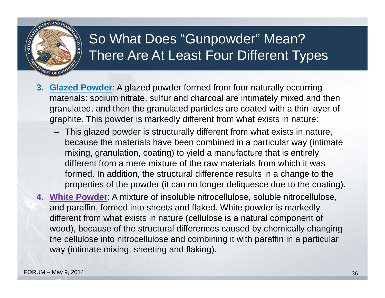

#### So What Does "Gunpowder" Mean? There Are At Least Four Different Types

- **3. Glazed Powder**: A glazed powder formed from four naturally occurring materials: sodium nitrate, sulfur and charcoal are intimately mixed and then granulated, and then the granulated particles are coated with a thin layer of graphite. This powder is markedly different from what exists in nature:
	- This glazed powder is structurally different from what exists in nature, because the materials have been combined in a particular way (intimate mixing, granulation, coating) to yield a manufacture that is entirely different from a mere mixture of the raw materials from which it was formed. In addition, the structural difference results in a change to the properties of the powder (it can no longer deliquesce due to the coating).
- **4. White Powder**: A mixture of insoluble nitrocellulose, soluble nitrocellulose, and paraffin, formed into sheets and flaked. White powder is markedly different from what exists in nature (cellulose is a natural component of wood), because of the structural differences caused by chemically changing the cellulose into nitrocellulose and combining it with paraffin in a particular way (intimate mixing, sheeting and flaking).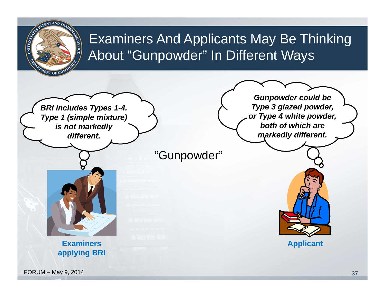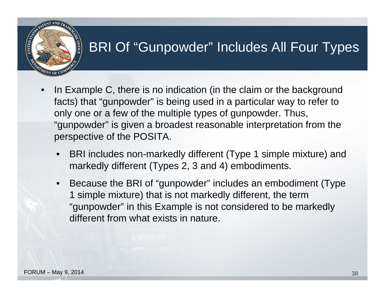# OFFIC

#### BRI Of "Gunpowder" Includes All Four Types

- • In Example C, there is no indication (in the claim or the background facts) that "gunpowder" is being used in a particular way to refer to only one or a few of the multiple types of gunpowder. Thus, "gunpowder" is given a broadest reasonable interpretation from the perspective of the POSITA.
	- • BRI includes non-markedly different (Type 1 simple mixture) and markedly different (Types 2, 3 and 4) embodiments.
	- • Because the BRI of "gunpowder" includes an embodiment (Type 1 simple mixture) that is not markedly different, the term "gunpowder" in this Example is not considered to be markedly different from what exists in nature.